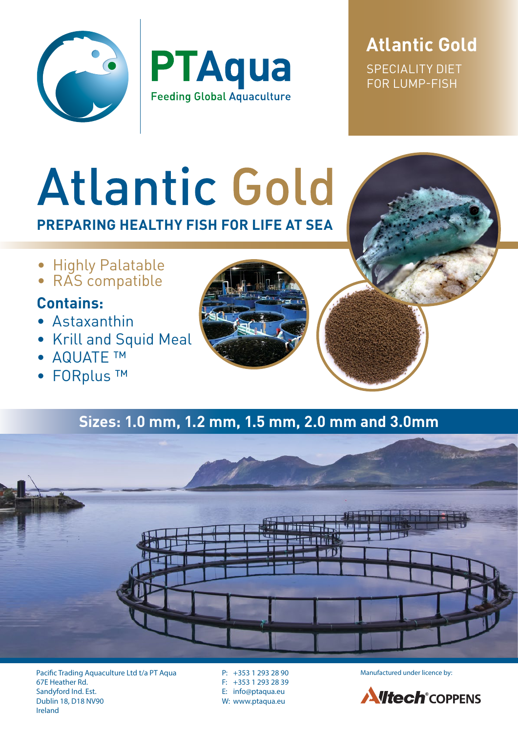



**Atlantic Gold** SPECIALITY DIET FOR LUMP-FISH

# **Atlantic Gold PREPARING HEALTHY FISH FOR LIFE AT SEA**

- Highly Palatable
- RAS compatible

## **Contains:**

- Astaxanthin
- Krill and Squid Meal
- AQUATE ™
- FORplus ™



## **Sizes: 1.0 mm, 1.2 mm, 1.5 mm, 2.0 mm and 3.0mm**



Pacific Trading Aquaculture Ltd t/a PT Aqua P: +353 1 293 28 90 Manufactured under licence by: 67E Heather Rd. Sandyford Ind. Est. Dublin 18, D18 NV90 Ireland

P: +353 1 293 28 90 F: +353 1 293 28 39 E: info@ptaqua.eu W: www.ptaqua.eu